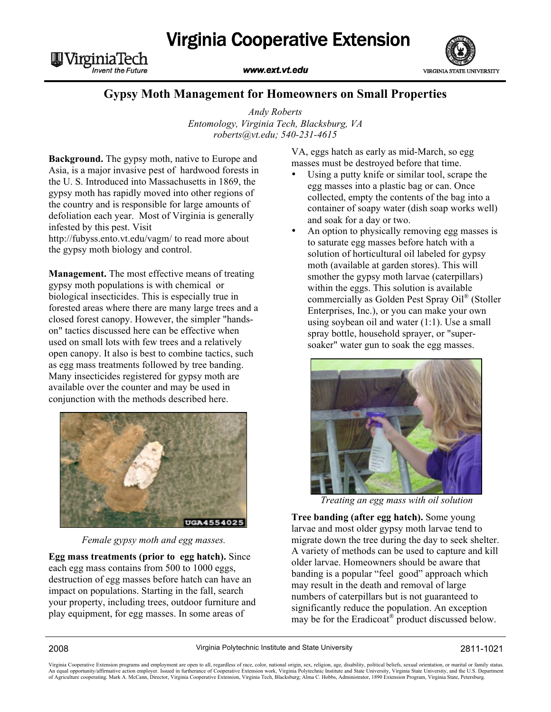

WVirginiaTech **Invent the Future** 

## www.ext.vt.edu



## **Gypsy Moth Management for Homeowners on Small Properties**

*Andy Roberts Entomology, Virginia Tech, Blacksburg, VA roberts@vt.edu; 540-231-4615*

**Background.** The gypsy moth, native to Europe and Asia, is a major invasive pest of hardwood forests in the U. S. Introduced into Massachusetts in 1869, the gypsy moth has rapidly moved into other regions of the country and is responsible for large amounts of defoliation each year. Most of Virginia is generally infested by this pest. Visit http://fubyss.ento.vt.edu/vagm/ to read more about

the gypsy moth biology and control.

**Management.** The most effective means of treating gypsy moth populations is with chemical or biological insecticides. This is especially true in forested areas where there are many large trees and a closed forest canopy. However, the simpler "handson" tactics discussed here can be effective when used on small lots with few trees and a relatively open canopy. It also is best to combine tactics, such as egg mass treatments followed by tree banding. Many insecticides registered for gypsy moth are available over the counter and may be used in conjunction with the methods described here.



*Female gypsy moth and egg masses.*

**Egg mass treatments (prior to egg hatch).** Since each egg mass contains from 500 to 1000 eggs, destruction of egg masses before hatch can have an impact on populations. Starting in the fall, search your property, including trees, outdoor furniture and play equipment, for egg masses. In some areas of

VA, eggs hatch as early as mid-March, so egg masses must be destroyed before that time.

- Using a putty knife or similar tool, scrape the egg masses into a plastic bag or can. Once collected, empty the contents of the bag into a container of soapy water (dish soap works well) and soak for a day or two.
- An option to physically removing egg masses is to saturate egg masses before hatch with a solution of horticultural oil labeled for gypsy moth (available at garden stores). This will smother the gypsy moth larvae (caterpillars) within the eggs. This solution is available commercially as Golden Pest Spray Oil® (Stoller Enterprises, Inc.), or you can make your own using soybean oil and water (1:1). Use a small spray bottle, household sprayer, or "supersoaker" water gun to soak the egg masses.



*Treating an egg mass with oil solution*

**Tree banding (after egg hatch).** Some young larvae and most older gypsy moth larvae tend to migrate down the tree during the day to seek shelter. A variety of methods can be used to capture and kill older larvae. Homeowners should be aware that banding is a popular "feel good" approach which may result in the death and removal of large numbers of caterpillars but is not guaranteed to significantly reduce the population. An exception may be for the Eradicoat® product discussed below.

Virginia Cooperative Extension programs and employment are open to all, regardless of race, color, national origin, sex, religion, age, disability, political beliefs, sexual orientation, or marital or family status. An equal opportunity/affirmative action employer. Issued in furtherance of Cooperative Extension work, Virginia Polytechnic Institute and State University, Virginia State University, and the U.S. Department<br>of Agriculture